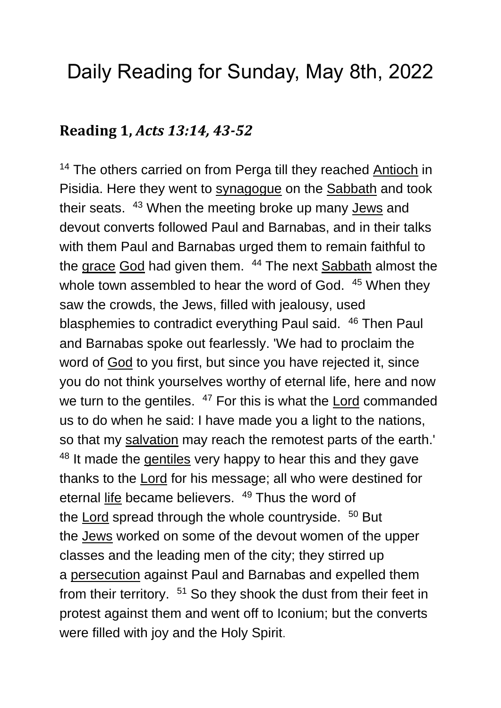# Daily Reading for Sunday, May 8th, 2022

#### **Reading 1,** *Acts 13:14, 43-52*

<sup>14</sup> The others carried on from Perga till they reached [Antioch](https://www.catholic.org/encyclopedia/view.php?id=870) in Pisidia. Here they went to [synagogue](https://www.catholic.org/encyclopedia/view.php?id=11202) on the [Sabbath](https://www.catholic.org/encyclopedia/view.php?id=10265) and took their seats. <sup>43</sup> When the meeting broke up many **[Jews](https://www.catholic.org/encyclopedia/view.php?id=6511)** and devout converts followed Paul and Barnabas, and in their talks with them Paul and Barnabas urged them to remain faithful to the [grace](https://www.catholic.org/encyclopedia/view.php?id=5305) [God](https://www.catholic.org/encyclopedia/view.php?id=5217) had given them. <sup>44</sup> The next [Sabbath](https://www.catholic.org/encyclopedia/view.php?id=10265) almost the whole town assembled to hear the word of God. <sup>45</sup> When they saw the crowds, the Jews, filled with jealousy, used blasphemies to contradict everything Paul said. <sup>46</sup> Then Paul and Barnabas spoke out fearlessly. 'We had to proclaim the word of [God](https://www.catholic.org/encyclopedia/view.php?id=5217) to you first, but since you have rejected it, since you do not think yourselves worthy of eternal life, here and now we turn to the gentiles. <sup>47</sup> For this is what the [Lord](https://www.catholic.org/encyclopedia/view.php?id=5217) commanded us to do when he said: I have made you a light to the nations, so that my [salvation](https://www.catholic.org/encyclopedia/view.php?id=10395) may reach the remotest parts of the earth.' <sup>48</sup> It made the [gentiles](https://www.catholic.org/encyclopedia/view.php?id=5057) very happy to hear this and they gave thanks to the [Lord](https://www.catholic.org/encyclopedia/view.php?id=5217) for his message; all who were destined for eternal [life](https://www.catholic.org/encyclopedia/view.php?id=7101) became believers. <sup>49</sup> Thus the word of the [Lord](https://www.catholic.org/encyclopedia/view.php?id=5217) spread through the whole countryside. <sup>50</sup> But the [Jews](https://www.catholic.org/encyclopedia/view.php?id=6511) worked on some of the devout women of the upper classes and the leading men of the city; they stirred up a [persecution](https://www.catholic.org/encyclopedia/view.php?id=9187) against Paul and Barnabas and expelled them from their territory. <sup>51</sup> So they shook the dust from their feet in protest against them and went off to Iconium; but the converts were filled with joy and the Holy Spirit.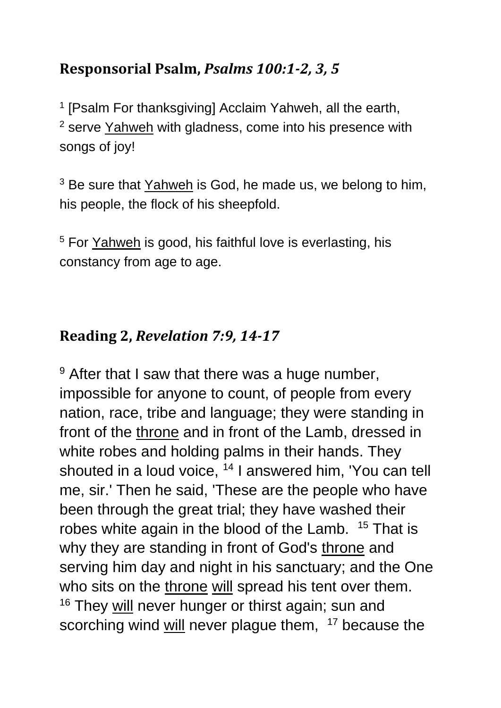#### **Responsorial Psalm,** *Psalms 100:1-2, 3, 5*

<sup>1</sup> [Psalm For thanksgiving] Acclaim Yahweh, all the earth, <sup>2</sup> serve [Yahweh](https://www.catholic.org/encyclopedia/view.php?id=6291) with gladness, come into his presence with songs of joy!

<sup>3</sup> Be sure that [Yahweh](https://www.catholic.org/encyclopedia/view.php?id=6291) is God, he made us, we belong to him, his people, the flock of his sheepfold.

<sup>5</sup> For [Yahweh](https://www.catholic.org/encyclopedia/view.php?id=6291) is good, his faithful love is everlasting, his constancy from age to age.

### **Reading 2,** *Revelation 7:9, 14-17*

<sup>9</sup> After that I saw that there was a huge number, impossible for anyone to count, of people from every nation, race, tribe and language; they were standing in front of the [throne](https://www.catholic.org/encyclopedia/view.php?id=11541) and in front of the Lamb, dressed in white robes and holding palms in their hands. They shouted in a loud voice, <sup>14</sup> I answered him, 'You can tell me, sir.' Then he said, 'These are the people who have been through the great trial; they have washed their robes white again in the blood of the Lamb. <sup>15</sup> That is why they are standing in front of God's [throne](https://www.catholic.org/encyclopedia/view.php?id=11541) and serving him day and night in his sanctuary; and the One who sits on the [throne](https://www.catholic.org/encyclopedia/view.php?id=11541) [will](https://www.catholic.org/encyclopedia/view.php?id=12332) spread his tent over them. <sup>16</sup> They [will](https://www.catholic.org/encyclopedia/view.php?id=12332) never hunger or thirst again; sun and scorching wind [will](https://www.catholic.org/encyclopedia/view.php?id=12332) never plague them, <sup>17</sup> because the